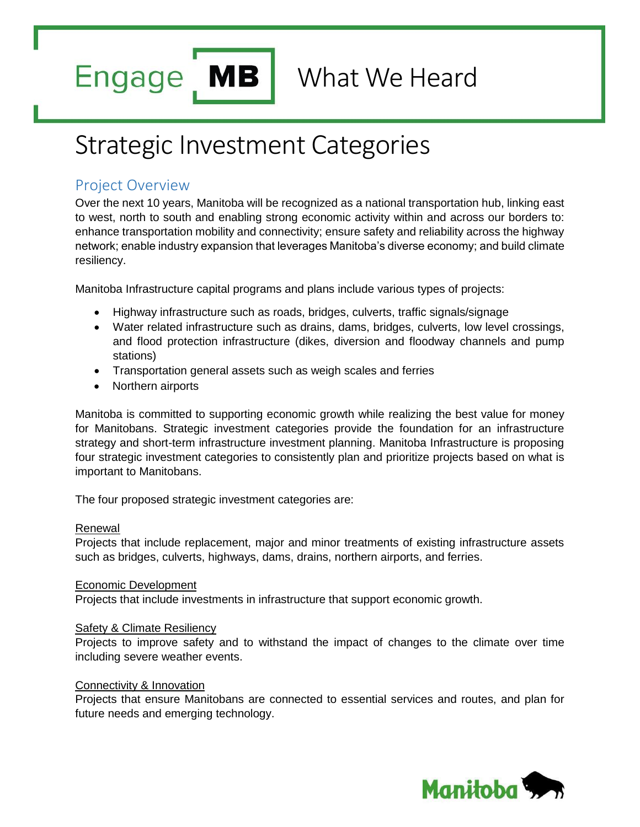**MB Engage** 

What We Heard

# Strategic Investment Categories

# Project Overview

Over the next 10 years, Manitoba will be recognized as a national transportation hub, linking east to west, north to south and enabling strong economic activity within and across our borders to: enhance transportation mobility and connectivity; ensure safety and reliability across the highway network; enable industry expansion that leverages Manitoba's diverse economy; and build climate resiliency.

Manitoba Infrastructure capital programs and plans include various types of projects:

- Highway infrastructure such as roads, bridges, culverts, traffic signals/signage
- Water related infrastructure such as drains, dams, bridges, culverts, low level crossings, and flood protection infrastructure (dikes, diversion and floodway channels and pump stations)
- Transportation general assets such as weigh scales and ferries
- Northern airports

Manitoba is committed to supporting economic growth while realizing the best value for money for Manitobans. Strategic investment categories provide the foundation for an infrastructure strategy and short-term infrastructure investment planning. Manitoba Infrastructure is proposing four strategic investment categories to consistently plan and prioritize projects based on what is important to Manitobans.

The four proposed strategic investment categories are:

#### **Renewal**

Projects that include replacement, major and minor treatments of existing infrastructure assets such as bridges, culverts, highways, dams, drains, northern airports, and ferries.

#### Economic Development

Projects that include investments in infrastructure that support economic growth.

#### Safety & Climate Resiliency

Projects to improve safety and to withstand the impact of changes to the climate over time including severe weather events.

#### Connectivity & Innovation

Projects that ensure Manitobans are connected to essential services and routes, and plan for future needs and emerging technology.

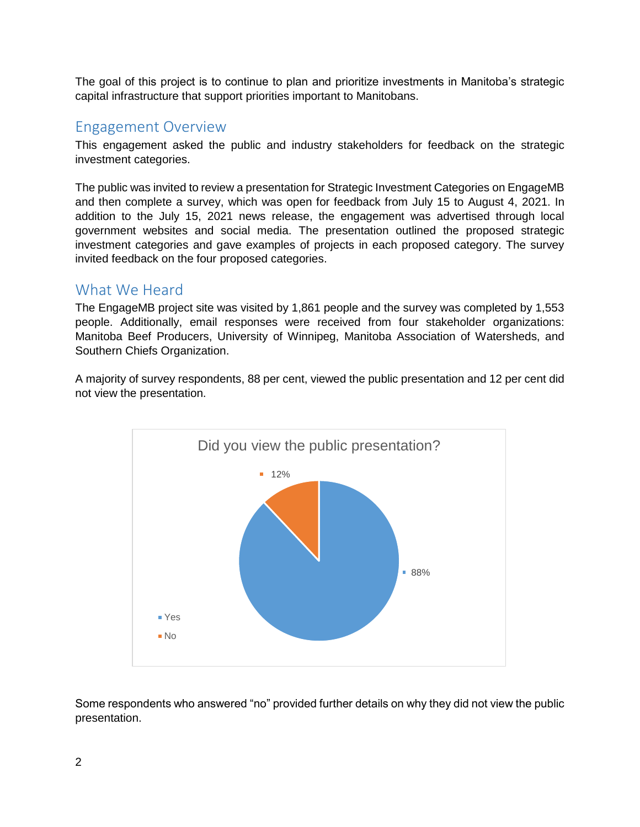The goal of this project is to continue to plan and prioritize investments in Manitoba's strategic capital infrastructure that support priorities important to Manitobans.

### Engagement Overview

This engagement asked the public and industry stakeholders for feedback on the strategic investment categories.

The public was invited to review a presentation for Strategic Investment Categories on EngageMB and then complete a survey, which was open for feedback from July 15 to August 4, 2021. In addition to the July 15, 2021 news release, the engagement was advertised through local government websites and social media. The presentation outlined the proposed strategic investment categories and gave examples of projects in each proposed category. The survey invited feedback on the four proposed categories.

## What We Heard

The EngageMB project site was visited by 1,861 people and the survey was completed by 1,553 people. Additionally, email responses were received from four stakeholder organizations: Manitoba Beef Producers, University of Winnipeg, Manitoba Association of Watersheds, and Southern Chiefs Organization.

A majority of survey respondents, 88 per cent, viewed the public presentation and 12 per cent did not view the presentation.



Some respondents who answered "no" provided further details on why they did not view the public presentation.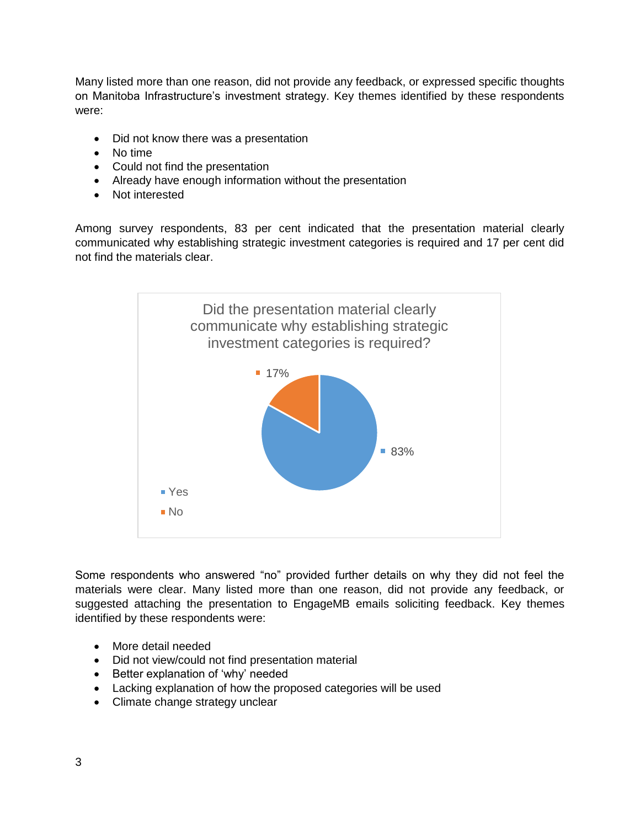Many listed more than one reason, did not provide any feedback, or expressed specific thoughts on Manitoba Infrastructure's investment strategy. Key themes identified by these respondents were:

- Did not know there was a presentation
- No time
- Could not find the presentation
- Already have enough information without the presentation
- Not interested

Among survey respondents, 83 per cent indicated that the presentation material clearly communicated why establishing strategic investment categories is required and 17 per cent did not find the materials clear.



Some respondents who answered "no" provided further details on why they did not feel the materials were clear. Many listed more than one reason, did not provide any feedback, or suggested attaching the presentation to EngageMB emails soliciting feedback. Key themes identified by these respondents were:

- More detail needed
- Did not view/could not find presentation material
- Better explanation of 'why' needed
- Lacking explanation of how the proposed categories will be used
- Climate change strategy unclear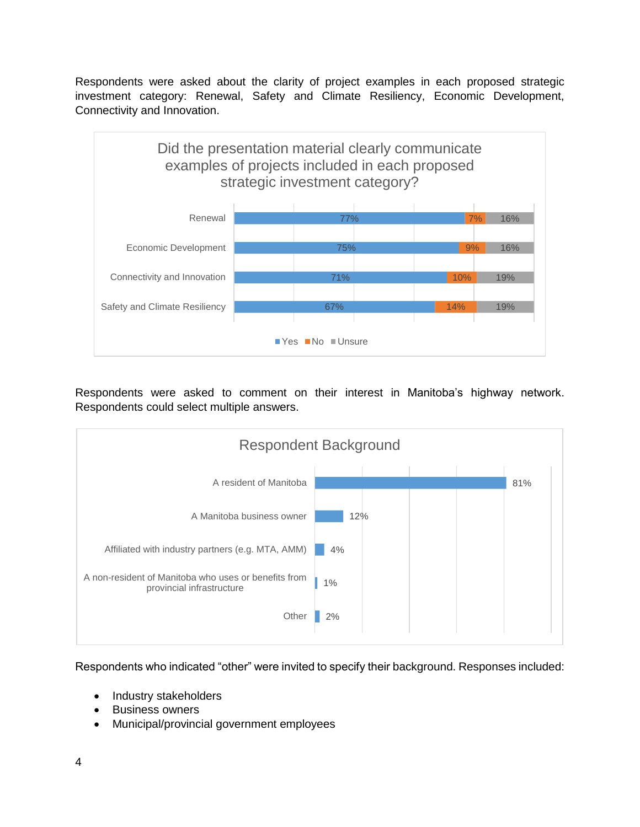Respondents were asked about the clarity of project examples in each proposed strategic investment category: Renewal, Safety and Climate Resiliency, Economic Development, Connectivity and Innovation.



Respondents were asked to comment on their interest in Manitoba's highway network. Respondents could select multiple answers.



Respondents who indicated "other" were invited to specify their background. Responses included:

- Industry stakeholders
- Business owners
- Municipal/provincial government employees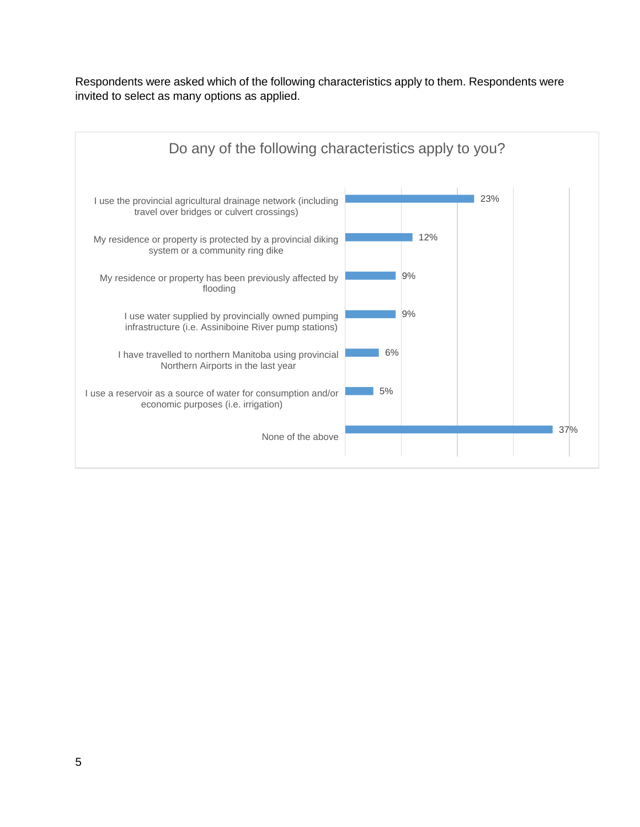Respondents were asked which of the following characteristics apply to them. Respondents were invited to select as many options as applied.

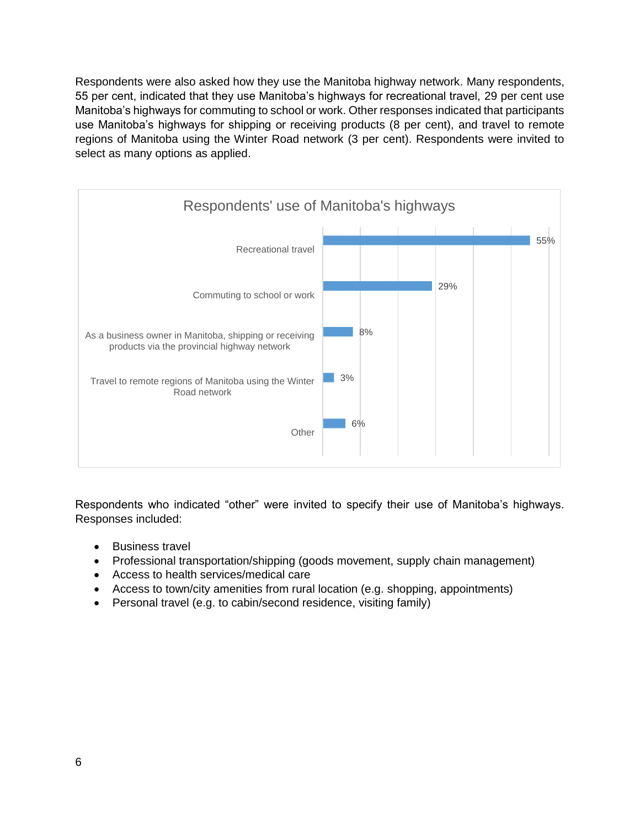Respondents were also asked how they use the Manitoba highway network. Many respondents, 55 per cent, indicated that they use Manitoba's highways for recreational travel, 29 per cent use Manitoba's highways for commuting to school or work. Other responses indicated that participants use Manitoba's highways for shipping or receiving products (8 per cent), and travel to remote regions of Manitoba using the Winter Road network (3 per cent). Respondents were invited to select as many options as applied.



Respondents who indicated "other" were invited to specify their use of Manitoba's highways. Responses included:

- Business travel
- Professional transportation/shipping (goods movement, supply chain management)
- Access to health services/medical care
- Access to town/city amenities from rural location (e.g. shopping, appointments)
- Personal travel (e.g. to cabin/second residence, visiting family)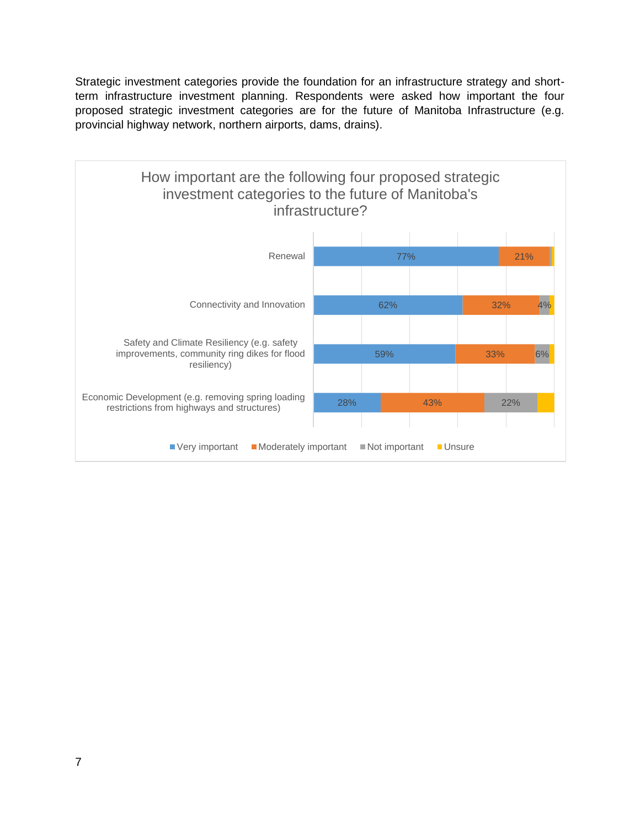Strategic investment categories provide the foundation for an infrastructure strategy and shortterm infrastructure investment planning. Respondents were asked how important the four proposed strategic investment categories are for the future of Manitoba Infrastructure (e.g. provincial highway network, northern airports, dams, drains).

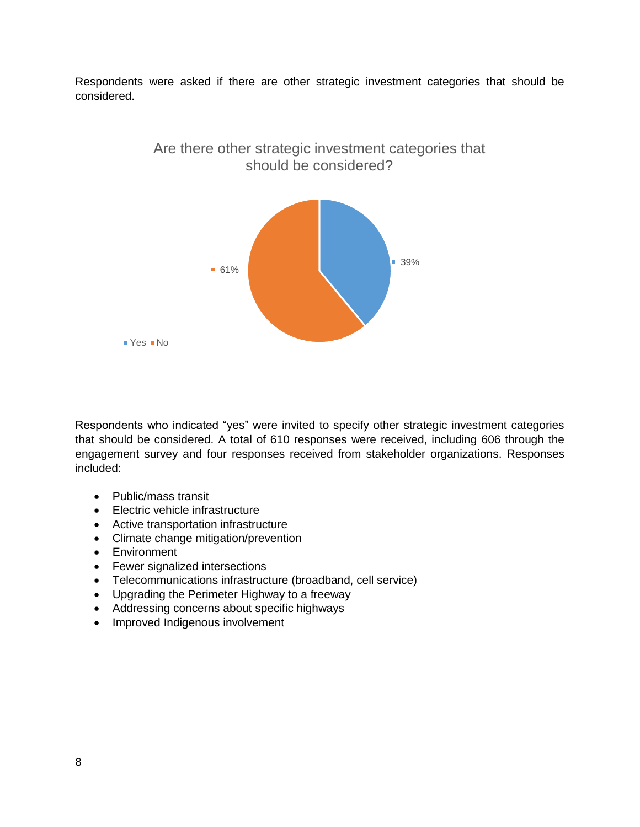

Respondents were asked if there are other strategic investment categories that should be considered.

Respondents who indicated "yes" were invited to specify other strategic investment categories that should be considered. A total of 610 responses were received, including 606 through the engagement survey and four responses received from stakeholder organizations. Responses included:

- Public/mass transit
- Electric vehicle infrastructure
- Active transportation infrastructure
- Climate change mitigation/prevention
- Environment
- Fewer signalized intersections
- Telecommunications infrastructure (broadband, cell service)
- Upgrading the Perimeter Highway to a freeway
- Addressing concerns about specific highways
- Improved Indigenous involvement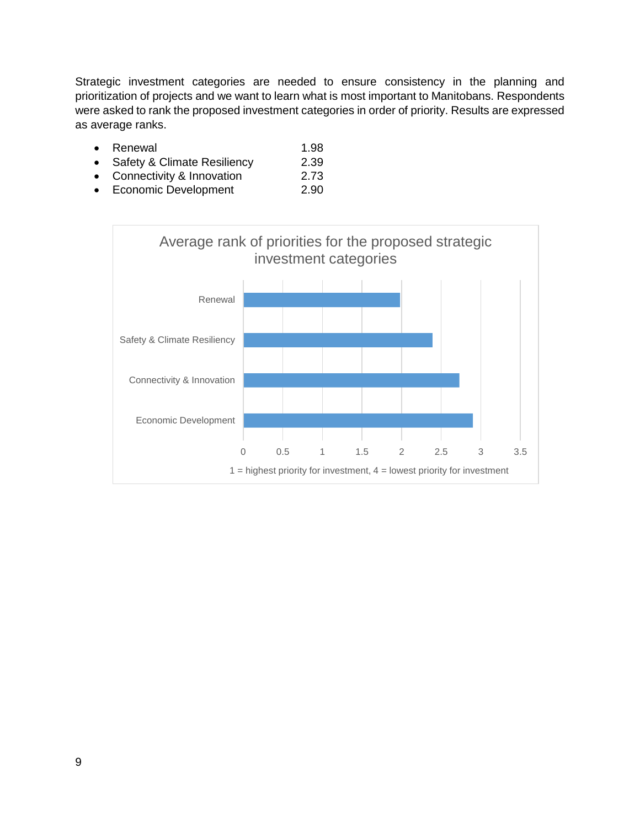Strategic investment categories are needed to ensure consistency in the planning and prioritization of projects and we want to learn what is most important to Manitobans. Respondents were asked to rank the proposed investment categories in order of priority. Results are expressed as average ranks.

- Renewal 1.98
- Safety & Climate Resiliency 2.39
- Connectivity & Innovation 2.73
- Economic Development 2.90

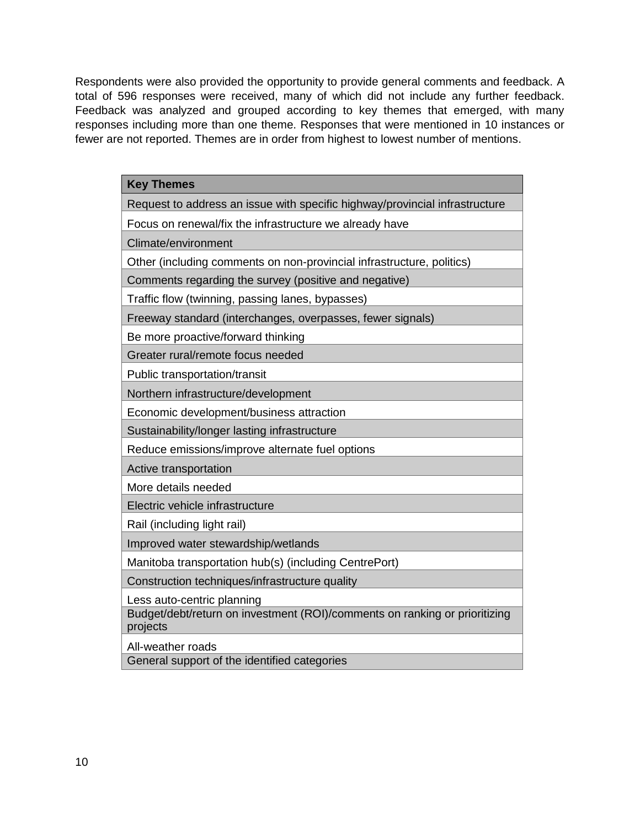Respondents were also provided the opportunity to provide general comments and feedback. A total of 596 responses were received, many of which did not include any further feedback. Feedback was analyzed and grouped according to key themes that emerged, with many responses including more than one theme. Responses that were mentioned in 10 instances or fewer are not reported. Themes are in order from highest to lowest number of mentions.

| <b>Key Themes</b>                                                                      |
|----------------------------------------------------------------------------------------|
| Request to address an issue with specific highway/provincial infrastructure            |
| Focus on renewal/fix the infrastructure we already have                                |
| Climate/environment                                                                    |
| Other (including comments on non-provincial infrastructure, politics)                  |
| Comments regarding the survey (positive and negative)                                  |
| Traffic flow (twinning, passing lanes, bypasses)                                       |
| Freeway standard (interchanges, overpasses, fewer signals)                             |
| Be more proactive/forward thinking                                                     |
| Greater rural/remote focus needed                                                      |
| Public transportation/transit                                                          |
| Northern infrastructure/development                                                    |
| Economic development/business attraction                                               |
| Sustainability/longer lasting infrastructure                                           |
| Reduce emissions/improve alternate fuel options                                        |
| Active transportation                                                                  |
| More details needed                                                                    |
| Electric vehicle infrastructure                                                        |
| Rail (including light rail)                                                            |
| Improved water stewardship/wetlands                                                    |
| Manitoba transportation hub(s) (including CentrePort)                                  |
| Construction techniques/infrastructure quality                                         |
| Less auto-centric planning                                                             |
| Budget/debt/return on investment (ROI)/comments on ranking or prioritizing<br>projects |
| All-weather roads                                                                      |
| General support of the identified categories                                           |